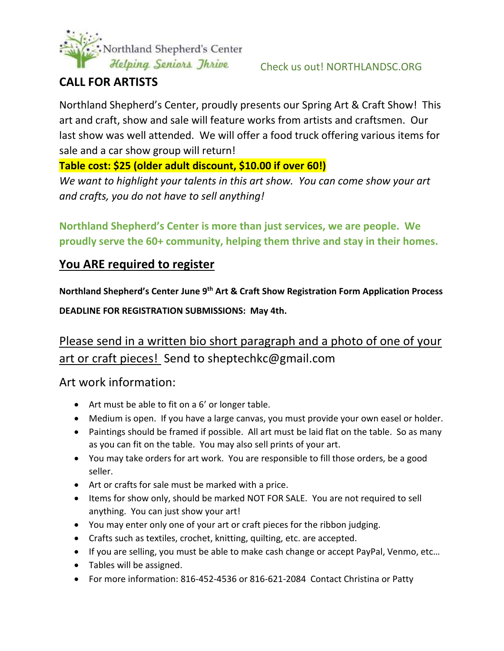

#### Check us out! NORTHLANDSC.ORG

## **CALL FOR ARTISTS**

Northland Shepherd's Center, proudly presents our Spring Art & Craft Show! This art and craft, show and sale will feature works from artists and craftsmen. Our last show was well attended. We will offer a food truck offering various items for sale and a car show group will return!

#### **Table cost: \$25 (older adult discount, \$10.00 if over 60!)**

*We want to highlight your talents in this art show. You can come show your art and crafts, you do not have to sell anything!* 

**Northland Shepherd's Center is more than just services, we are people. We proudly serve the 60+ community, helping them thrive and stay in their homes.** 

## **You ARE required to register**

**Northland Shepherd's Center June 9th Art & Craft Show Registration Form Application Process DEADLINE FOR REGISTRATION SUBMISSIONS: May 4th.** 

# Please send in a written bio short paragraph and a photo of one of your art or craft pieces! Send to sheptechkc@gmail.com

Art work information:

- Art must be able to fit on a 6' or longer table.
- Medium is open. If you have a large canvas, you must provide your own easel or holder.
- Paintings should be framed if possible. All art must be laid flat on the table. So as many as you can fit on the table. You may also sell prints of your art.
- You may take orders for art work. You are responsible to fill those orders, be a good seller.
- Art or crafts for sale must be marked with a price.
- Items for show only, should be marked NOT FOR SALE. You are not required to sell anything. You can just show your art!
- You may enter only one of your art or craft pieces for the ribbon judging.
- Crafts such as textiles, crochet, knitting, quilting, etc. are accepted.
- If you are selling, you must be able to make cash change or accept PayPal, Venmo, etc…
- Tables will be assigned.
- For more information: 816-452-4536 or 816-621-2084 Contact Christina or Patty